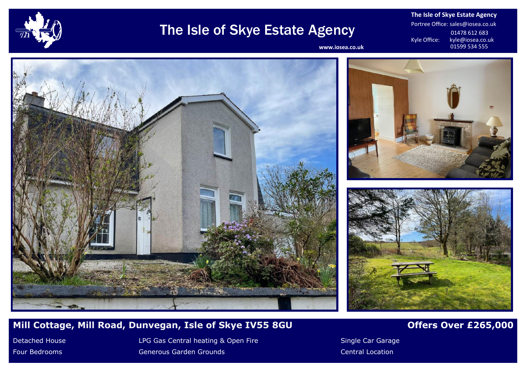

## The Isle of Skye Estate Agency

**The Isle of Skye Estate Agency** Portree Office: sales@iosea.co.uk 01478 612 683<br>Kyle Office: kyle@iosea.co.u kyle@iosea.co.uk<br>01599 534 555

www.iosea.co.uk







## **Mill Cottage, Mill Road, Dunvegan, Isle of Skye IV55 8GU <b>Detached Containst Contract Contract** Over £265,000

Detached House **LPG Gas Central heating & Open Fire** Single Car Garage Car Garage Four Bedrooms **Canadian Central Cenerous Garden Grounds** Central Location Central Location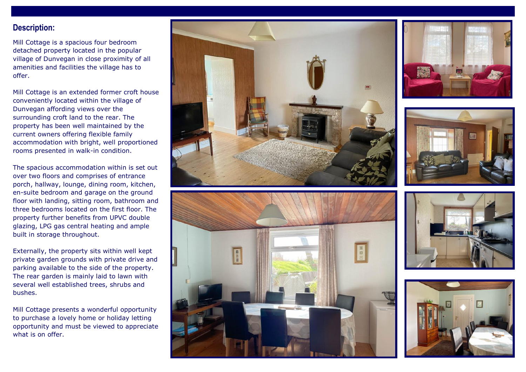### **Description:**

Mill Cottage is a spacious four bedroom detached property located in the popular village of Dunvegan in close proximity of all amenities and facilities the village has to offer.

Mill Cottage is an extended former croft house conveniently located within the village of Dunvegan affording views over the surrounding croft land to the rear. The property has been well maintained by the current owners offering flexible family accommodation with bright, well proportioned rooms presented in walk-in condition.

The spacious accommodation within is set out over two floors and comprises of entrance porch, hallway, lounge, dining room, kitchen, en-suite bedroom and garage on the ground floor with landing, sitting room, bathroom and three bedrooms located on the first floor. The property further benefits from UPVC double glazing, LPG gas central heating and ample built in storage throughout.

Externally, the property sits within well kept private garden grounds with private drive and parking available to the side of the property. The rear garden is mainly laid to lawn with several well established trees, shrubs and bushes.

Mill Cottage presents a wonderful opportunity to purchase a lovely home or holiday letting opportunity and must be viewed to appreciate what is on offer.











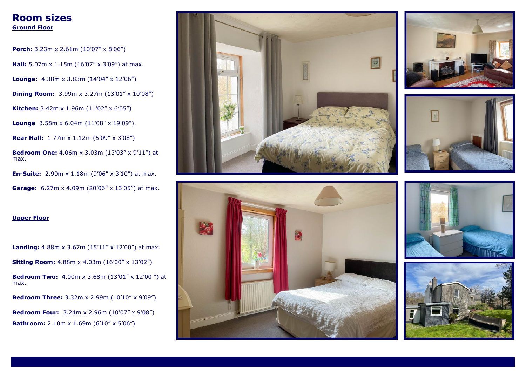## **Room sizes Ground Floor**

**Porch:** 3.23m x 2.61m (10'07" x 8'06") **Hall:** 5.07m x 1.15m (16'07" x 3'09") at max. Lounge:  $4.38m \times 3.83m (14'04'' \times 12'06'')$ **Dining Room:** 3.99m x 3.27m (13'01" x 10'08") **Kitchen:** 3.42m x 1.96m (11'02" x 6'05")

**Lounge** 3.58m x 6.04m (11'08" x 19'09").

**Rear Hall:** 1.77m x 1.12m (5'09" x 3'08")

**Bedroom One:** 4.06m x 3.03m (13'03" x 9'11") at max.

**En-Suite:** 2.90m x 1.18m (9'06" x 3'10") at max.

**Garage:** 6.27m x 4.09m (20'06" x 13'05") at max.

#### **Upper Floor**

**Landing:** 4.88m x 3.67m (15'11" x 12'00") at max.

**Sitting Room:** 4.88m x 4.03m (16'00" x 13'02")

**Bedroom Two:** 4.00m x 3.68m (13'01" x 12'00 ") at max.

**Bedroom Three:** 3.32m x 2.99m (10'10" x 9'09")

**Bedroom Four:** 3.24m x 2.96m (10'07" x 9'08") **Bathroom:** 2.10m x 1.69m (6'10" x 5'06")